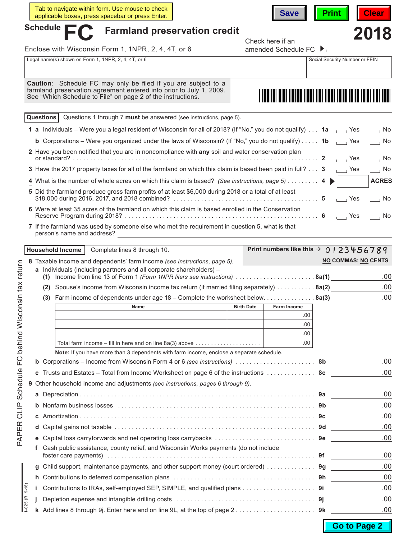|                 | Tab to navigate within form. Use mouse to check<br>applicable boxes, press spacebar or press Enter.                                                                                                                           |                                                                                                                                                                                                              |  | <b>Save</b>                                        | <b>Print</b>                                                 | <b>Clear</b>                             |  |
|-----------------|-------------------------------------------------------------------------------------------------------------------------------------------------------------------------------------------------------------------------------|--------------------------------------------------------------------------------------------------------------------------------------------------------------------------------------------------------------|--|----------------------------------------------------|--------------------------------------------------------------|------------------------------------------|--|
|                 | Schedule $\blacksquare$                                                                                                                                                                                                       | <b>Farmland preservation credit</b>                                                                                                                                                                          |  |                                                    |                                                              |                                          |  |
|                 |                                                                                                                                                                                                                               |                                                                                                                                                                                                              |  | Check here if an                                   |                                                              | 2018                                     |  |
|                 | Enclose with Wisconsin Form 1, 1NPR, 2, 4, 4T, or 6                                                                                                                                                                           |                                                                                                                                                                                                              |  | amended Schedule FC $\blacktriangleright$ $\Box$   |                                                              |                                          |  |
|                 | Legal name(s) shown on Form 1, 1NPR, 2, 4, 4T, or 6                                                                                                                                                                           |                                                                                                                                                                                                              |  |                                                    | Social Security Number or FEIN                               |                                          |  |
|                 |                                                                                                                                                                                                                               |                                                                                                                                                                                                              |  |                                                    |                                                              |                                          |  |
|                 | Caution: Schedule FC may only be filed if you are subject to a<br>farmland preservation agreement entered into prior to July 1, 2009.<br>See "Which Schedule to File" on page 2 of the instructions.                          |                                                                                                                                                                                                              |  |                                                    |                                                              |                                          |  |
|                 |                                                                                                                                                                                                                               |                                                                                                                                                                                                              |  |                                                    |                                                              |                                          |  |
|                 | Questions                                                                                                                                                                                                                     | Questions 1 through 7 must be answered (see instructions, page 5).                                                                                                                                           |  |                                                    |                                                              |                                          |  |
|                 | 1 a Individuals – Were you a legal resident of Wisconsin for all of 2018? (If "No," you do not qualify) 1a                                                                                                                    |                                                                                                                                                                                                              |  |                                                    | ⊥ Yes                                                        | $\overline{a}$ No                        |  |
|                 |                                                                                                                                                                                                                               | <b>b</b> Corporations – Were you organized under the laws of Wisconsin? (If "No," you do not qualify) 1b<br>2 Have you been notified that you are in noncompliance with any soil and water conservation plan |  |                                                    |                                                              |                                          |  |
|                 |                                                                                                                                                                                                                               |                                                                                                                                                                                                              |  |                                                    |                                                              |                                          |  |
|                 |                                                                                                                                                                                                                               | 3 Have the 2017 property taxes for all of the farmland on which this claim is based been paid in full? 3                                                                                                     |  |                                                    | $\overline{\phantom{a}}$ Yes<br>$\overline{\phantom{a}}$ Yes | $\overline{\phantom{0}}$ No<br>$\Box$ No |  |
|                 |                                                                                                                                                                                                                               |                                                                                                                                                                                                              |  |                                                    |                                                              | <b>ACRES</b>                             |  |
|                 | 4 What is the number of whole acres on which this claim is based? (See instructions, page 5)  4 $\blacktriangleright$<br>5 Did the farmland produce gross farm profits of at least \$6,000 during 2018 or a total of at least |                                                                                                                                                                                                              |  |                                                    |                                                              |                                          |  |
|                 |                                                                                                                                                                                                                               |                                                                                                                                                                                                              |  |                                                    | $\overline{1}$ Yes                                           | $\overline{\phantom{0}}$ No              |  |
|                 | 6 Were at least 35 acres of the farmland on which this claim is based enrolled in the Conservation                                                                                                                            |                                                                                                                                                                                                              |  |                                                    | $\overline{1}$ Yes                                           | $\overline{\phantom{a}}$ No              |  |
|                 | 7 If the farmland was used by someone else who met the requirement in question 5, what is that<br>person's name and address?                                                                                                  |                                                                                                                                                                                                              |  |                                                    |                                                              |                                          |  |
|                 |                                                                                                                                                                                                                               |                                                                                                                                                                                                              |  |                                                    |                                                              |                                          |  |
|                 | <b>Household Income</b>                                                                                                                                                                                                       | Complete lines 8 through 10.                                                                                                                                                                                 |  | Print numbers like this $\rightarrow$ 0   23456789 |                                                              |                                          |  |
|                 | 8 Taxable income and dependents' farm income (see instructions, page 5).                                                                                                                                                      |                                                                                                                                                                                                              |  |                                                    | <b>NO COMMAS; NO CENTS</b>                                   |                                          |  |
|                 | a Individuals (including partners and all corporate shareholders) -<br>(1) Income from line 13 of Form 1 (Form 1NPR filers see instructions) 8a(1)                                                                            |                                                                                                                                                                                                              |  |                                                    |                                                              | .00                                      |  |
|                 | (2) Spouse's income from Wisconsin income tax return (if married filing separately)  8a(2)                                                                                                                                    |                                                                                                                                                                                                              |  |                                                    |                                                              | .00                                      |  |
|                 | (3)                                                                                                                                                                                                                           | Farm income of dependents under age 18 - Complete the worksheet below. 8a(3)                                                                                                                                 |  |                                                    |                                                              | .00                                      |  |
|                 |                                                                                                                                                                                                                               |                                                                                                                                                                                                              |  |                                                    |                                                              |                                          |  |
|                 |                                                                                                                                                                                                                               |                                                                                                                                                                                                              |  | .00                                                |                                                              |                                          |  |
|                 |                                                                                                                                                                                                                               |                                                                                                                                                                                                              |  | .00                                                |                                                              |                                          |  |
|                 |                                                                                                                                                                                                                               |                                                                                                                                                                                                              |  | .00<br>.00.                                        |                                                              |                                          |  |
|                 |                                                                                                                                                                                                                               | Total farm income – fill in here and on line $8a(3)$ above $\ldots \ldots \ldots \ldots \ldots \ldots$<br>Note: If you have more than 3 dependents with farm income, enclose a separate schedule.            |  |                                                    |                                                              |                                          |  |
| b               |                                                                                                                                                                                                                               |                                                                                                                                                                                                              |  |                                                    |                                                              | .00                                      |  |
| С               | Trusts and Estates – Total from Income Worksheet on page 6 of the instructions  8c                                                                                                                                            |                                                                                                                                                                                                              |  | .00                                                |                                                              |                                          |  |
|                 | 9 Other household income and adjustments (see instructions, pages 6 through 9).                                                                                                                                               |                                                                                                                                                                                                              |  |                                                    |                                                              |                                          |  |
|                 |                                                                                                                                                                                                                               |                                                                                                                                                                                                              |  |                                                    |                                                              | .00                                      |  |
| b               |                                                                                                                                                                                                                               |                                                                                                                                                                                                              |  |                                                    |                                                              | .00                                      |  |
| C               |                                                                                                                                                                                                                               |                                                                                                                                                                                                              |  |                                                    |                                                              | .00                                      |  |
| d               |                                                                                                                                                                                                                               |                                                                                                                                                                                                              |  |                                                    |                                                              | .00                                      |  |
| е               |                                                                                                                                                                                                                               |                                                                                                                                                                                                              |  |                                                    |                                                              | .00                                      |  |
| f               |                                                                                                                                                                                                                               | Cash public assistance, county relief, and Wisconsin Works payments (do not include                                                                                                                          |  |                                                    |                                                              |                                          |  |
|                 |                                                                                                                                                                                                                               |                                                                                                                                                                                                              |  |                                                    | .00                                                          |                                          |  |
| g               | Child support, maintenance payments, and other support money (court ordered)  9g                                                                                                                                              |                                                                                                                                                                                                              |  |                                                    |                                                              | .00                                      |  |
| h.              |                                                                                                                                                                                                                               |                                                                                                                                                                                                              |  |                                                    |                                                              | .00                                      |  |
| $9 - 18$<br>Î.  | Contributions to IRAs, self-employed SEP, SIMPLE, and qualified plans 9i                                                                                                                                                      |                                                                                                                                                                                                              |  |                                                    |                                                              | .00                                      |  |
| $-025$ (R<br>j. |                                                                                                                                                                                                                               |                                                                                                                                                                                                              |  |                                                    |                                                              | .00                                      |  |
|                 |                                                                                                                                                                                                                               |                                                                                                                                                                                                              |  |                                                    |                                                              | .00                                      |  |

**Go to Page 2**